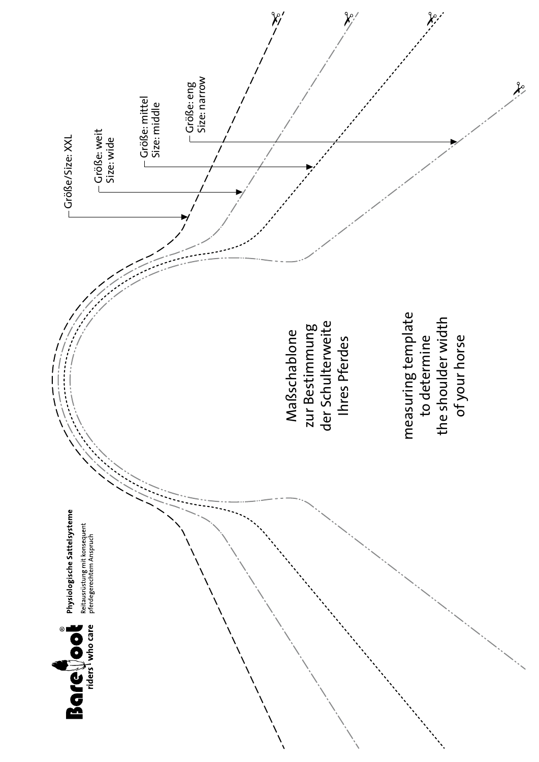